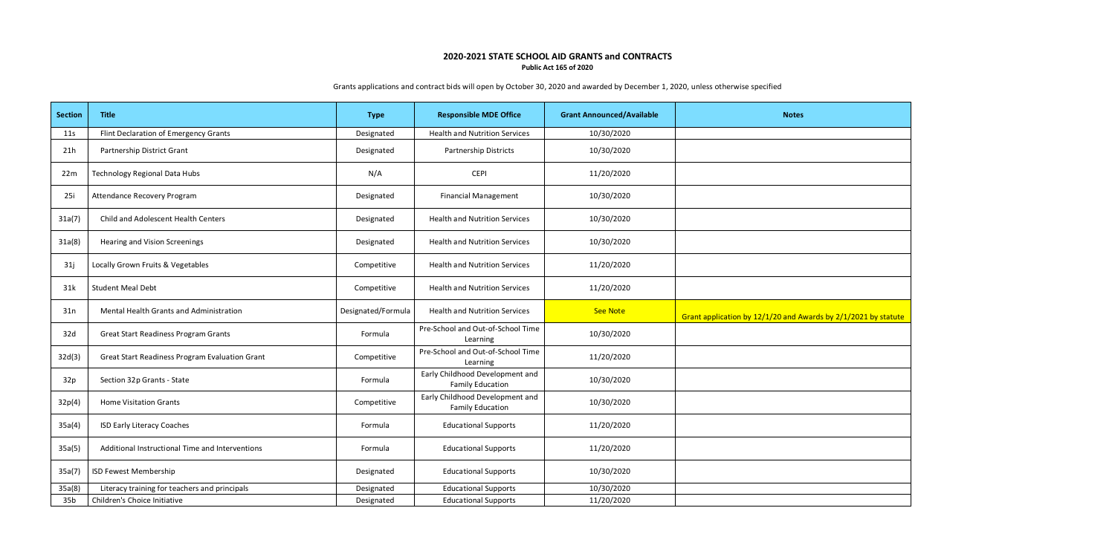## **2020-2021 STATE SCHOOL AID GRANTS and CONTRACTS Public Act 165 of 2020**

**Section Title Title Title Type Responsible MDE Office Grant Announced/Available Notes** 11s | Flint Declaration of Emergency Grants | Designated | Health and Nutrition Services | 10/30/2020 21h | Partnership District Grant | Designated | Partnership Districts | 10/30/2020 22m Technology Regional Data Hubs **National State of CEPI** CEPI CEPI 11/20/2020 25i Attendance Recovery Program **Network Constructs Area Constructs (Except** Designated Financial Management 10/30/2020 31a(7) Child and Adolescent Health Centers **Designated** Designated Health and Nutrition Services 20/30/2020 10/30/2020 31a(8) Hearing and Vision Screenings **Designated Health and Nutrition Services** 20/30/2020 31j | Locally Grown Fruits & Vegetables | Competitive | Health and Nutrition Services | 11/20/2020 31k Student Meal Debt 11/20/2020 | Competitive | Health and Nutrition Services | 11/20/2020 31n Mental Health Grants and Administration **Designated/Formula** Health and Nutrition Services **See Note** See Note 32d Great Start Readiness Program Grants Formula Pre-School and Out-of-School Time  $\frac{10}{20}$  and  $\frac{10}{30}$  10/30/2020 32d(3) Great Start Readiness Program Evaluation Grant Competitive Pre-School and Out-of-School Time  $\frac{11}{20/2020}$ 32p Section 32p Grants - State Formula Early Childhood Development and Family Education **10/30/2020** 32p(4) Home Visitation Grants Competitive Early Childhood Development and Family Education **10/30/2020** 35a(4) ISD Early Literacy Coaches **Formula** Formula Educational Supports 11/20/2020 35a(5) | Additional Instructional Time and Interventions | Formula | Educational Supports | 11/20/2020 35a(7) ISD Fewest Membership Designated Educational Supports 10/30/2020 35a(8) Literacy training for teachers and principals and the example of the Designated and Educational Supports 10/30/2020 and 10/30/2020 ab Children's Choice Initiative Choice Initiative Christian Christian Christian Christian Languard Christian La<br>
and Designated Christian Educational Supports 11/20/2020

Grants applications and contract bids will open by October 30, 2020 and awarded by December 1, 2020, unless otherwise specified

| vailable | <b>Notes</b>                                                   |
|----------|----------------------------------------------------------------|
|          |                                                                |
|          |                                                                |
|          |                                                                |
|          |                                                                |
|          |                                                                |
|          |                                                                |
|          |                                                                |
|          |                                                                |
|          | Grant application by 12/1/20 and Awards by 2/1/2021 by statute |
|          |                                                                |
|          |                                                                |
|          |                                                                |
|          |                                                                |
|          |                                                                |
|          |                                                                |
|          |                                                                |
|          |                                                                |
|          |                                                                |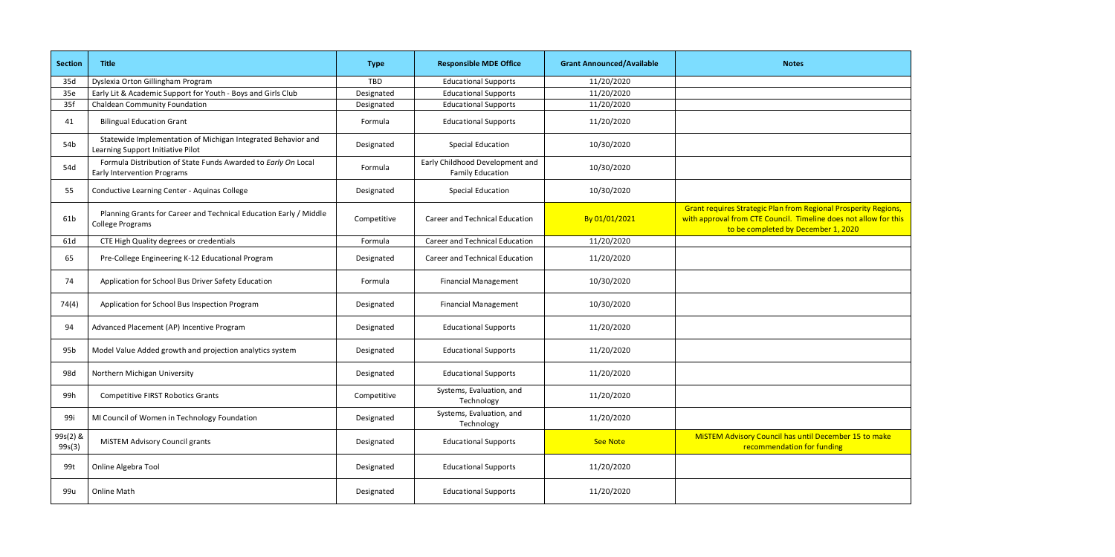| <b>Section</b>     | <b>Title</b>                                                                                        | <b>Type</b> | <b>Responsible MDE Office</b>                              | <b>Grant Announced/Available</b> | <b>Notes</b>                                                                                                                                                                      |
|--------------------|-----------------------------------------------------------------------------------------------------|-------------|------------------------------------------------------------|----------------------------------|-----------------------------------------------------------------------------------------------------------------------------------------------------------------------------------|
| 35d                | Dyslexia Orton Gillingham Program                                                                   | <b>TBD</b>  | <b>Educational Supports</b>                                | 11/20/2020                       |                                                                                                                                                                                   |
| 35e                | Early Lit & Academic Support for Youth - Boys and Girls Club                                        | Designated  | <b>Educational Supports</b>                                | 11/20/2020                       |                                                                                                                                                                                   |
| 35f                | <b>Chaldean Community Foundation</b>                                                                | Designated  | <b>Educational Supports</b>                                | 11/20/2020                       |                                                                                                                                                                                   |
| 41                 | <b>Bilingual Education Grant</b>                                                                    | Formula     | <b>Educational Supports</b>                                | 11/20/2020                       |                                                                                                                                                                                   |
| 54 <sub>b</sub>    | Statewide Implementation of Michigan Integrated Behavior and<br>Learning Support Initiative Pilot   | Designated  | <b>Special Education</b>                                   | 10/30/2020                       |                                                                                                                                                                                   |
| 54d                | Formula Distribution of State Funds Awarded to Early On Local<br><b>Early Intervention Programs</b> | Formula     | Early Childhood Development and<br><b>Family Education</b> | 10/30/2020                       |                                                                                                                                                                                   |
| 55                 | Conductive Learning Center - Aquinas College                                                        | Designated  | <b>Special Education</b>                                   | 10/30/2020                       |                                                                                                                                                                                   |
| 61b                | Planning Grants for Career and Technical Education Early / Middle<br>College Programs               | Competitive | <b>Career and Technical Education</b>                      | By 01/01/2021                    | <b>Grant requires Strategic Plan from Regional Prosperity Regions,</b><br>with approval from CTE Council. Timeline does not allow for this<br>to be completed by December 1, 2020 |
| 61d                | CTE High Quality degrees or credentials                                                             | Formula     | <b>Career and Technical Education</b>                      | 11/20/2020                       |                                                                                                                                                                                   |
| 65                 | Pre-College Engineering K-12 Educational Program                                                    | Designated  | <b>Career and Technical Education</b>                      | 11/20/2020                       |                                                                                                                                                                                   |
| 74                 | Application for School Bus Driver Safety Education                                                  | Formula     | <b>Financial Management</b>                                | 10/30/2020                       |                                                                                                                                                                                   |
| 74(4)              | Application for School Bus Inspection Program                                                       | Designated  | <b>Financial Management</b>                                | 10/30/2020                       |                                                                                                                                                                                   |
| 94                 | Advanced Placement (AP) Incentive Program                                                           | Designated  | <b>Educational Supports</b>                                | 11/20/2020                       |                                                                                                                                                                                   |
| 95 <sub>b</sub>    | Model Value Added growth and projection analytics system                                            | Designated  | <b>Educational Supports</b>                                | 11/20/2020                       |                                                                                                                                                                                   |
| 98d                | Northern Michigan University                                                                        | Designated  | <b>Educational Supports</b>                                | 11/20/2020                       |                                                                                                                                                                                   |
| 99h                | <b>Competitive FIRST Robotics Grants</b>                                                            | Competitive | Systems, Evaluation, and<br>Technology                     | 11/20/2020                       |                                                                                                                                                                                   |
| 99i                | MI Council of Women in Technology Foundation                                                        | Designated  | Systems, Evaluation, and<br>Technology                     | 11/20/2020                       |                                                                                                                                                                                   |
| 99s(2) &<br>99s(3) | <b>MISTEM Advisory Council grants</b>                                                               | Designated  | <b>Educational Supports</b>                                | See Note                         | MISTEM Advisory Council has until December 15 to make<br>recommendation for funding                                                                                               |
| 99t                | Online Algebra Tool                                                                                 | Designated  | <b>Educational Supports</b>                                | 11/20/2020                       |                                                                                                                                                                                   |
| 99u                | Online Math                                                                                         | Designated  | <b>Educational Supports</b>                                | 11/20/2020                       |                                                                                                                                                                                   |